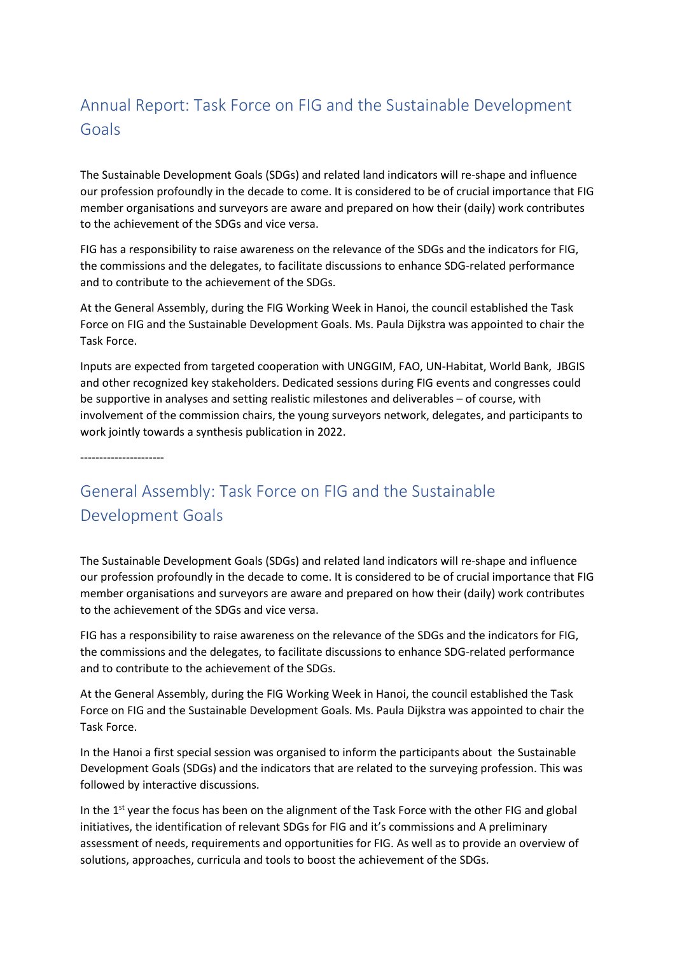## Annual Report: Task Force on FIG and the Sustainable Development Goals

The Sustainable Development Goals (SDGs) and related land indicators will re-shape and influence our profession profoundly in the decade to come. It is considered to be of crucial importance that FIG member organisations and surveyors are aware and prepared on how their (daily) work contributes to the achievement of the SDGs and vice versa.

FIG has a responsibility to raise awareness on the relevance of the SDGs and the indicators for FIG, the commissions and the delegates, to facilitate discussions to enhance SDG-related performance and to contribute to the achievement of the SDGs.

At the General Assembly, during the FIG Working Week in Hanoi, the council established the Task Force on FIG and the Sustainable Development Goals. Ms. Paula Dijkstra was appointed to chair the Task Force.

Inputs are expected from targeted cooperation with UNGGIM, FAO, UN-Habitat, World Bank, JBGIS and other recognized key stakeholders. Dedicated sessions during FIG events and congresses could be supportive in analyses and setting realistic milestones and deliverables – of course, with involvement of the commission chairs, the young surveyors network, delegates, and participants to work jointly towards a synthesis publication in 2022.

----------------------

## General Assembly: Task Force on FIG and the Sustainable Development Goals

The Sustainable Development Goals (SDGs) and related land indicators will re-shape and influence our profession profoundly in the decade to come. It is considered to be of crucial importance that FIG member organisations and surveyors are aware and prepared on how their (daily) work contributes to the achievement of the SDGs and vice versa.

FIG has a responsibility to raise awareness on the relevance of the SDGs and the indicators for FIG, the commissions and the delegates, to facilitate discussions to enhance SDG-related performance and to contribute to the achievement of the SDGs.

At the General Assembly, during the FIG Working Week in Hanoi, the council established the Task Force on FIG and the Sustainable Development Goals. Ms. Paula Dijkstra was appointed to chair the Task Force.

In the Hanoi a first special session was organised to inform the participants about the Sustainable Development Goals (SDGs) and the indicators that are related to the surveying profession. This was followed by interactive discussions.

In the  $1<sup>st</sup>$  year the focus has been on the alignment of the Task Force with the other FIG and global initiatives, the identification of relevant SDGs for FIG and it's commissions and A preliminary assessment of needs, requirements and opportunities for FIG. As well as to provide an overview of solutions, approaches, curricula and tools to boost the achievement of the SDGs.